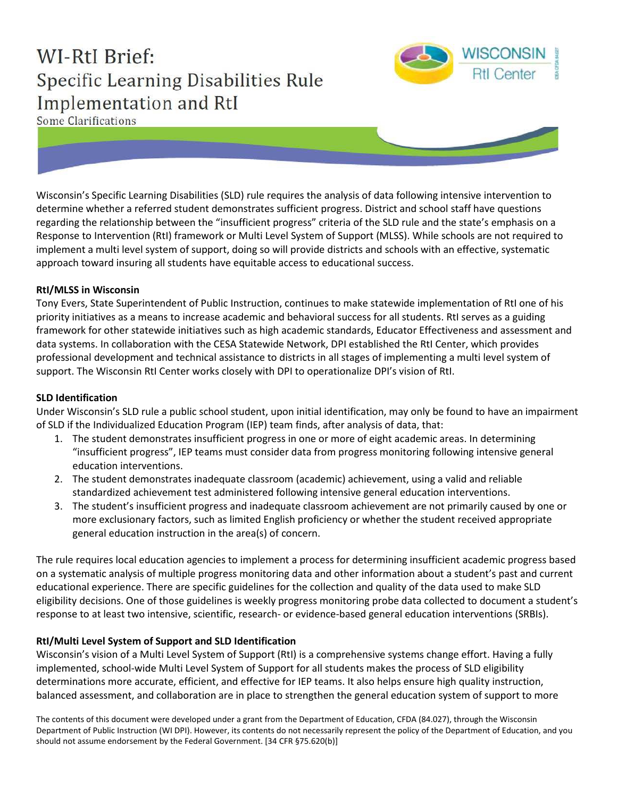# **WI-RtI Brief:** Specific Learning Disabilities Rule Implementation and RtI



Some Clarifications

Wisconsin's Specific Learning Disabilities (SLD) rule requires the analysis of data following intensive intervention to determine whether a referred student demonstrates sufficient progress. District and school staff have questions regarding the relationship between the "insufficient progress" criteria of the SLD rule and the state's emphasis on a Response to Intervention (RtI) framework or Multi Level System of Support (MLSS). While schools are not required to implement a multi level system of support, doing so will provide districts and schools with an effective, systematic approach toward insuring all students have equitable access to educational success.

### **RtI/MLSS in Wisconsin**

Tony Evers, State Superintendent of Public Instruction, continues to make statewide implementation of RtI one of his priority initiatives as a means to increase academic and behavioral success for all students. RtI serves as a guiding framework for other statewide initiatives such as high academic standards, Educator Effectiveness and assessment and data systems. In collaboration with the CESA Statewide Network, DPI established the RtI Center, which provides professional development and technical assistance to districts in all stages of implementing a multi level system of support. The Wisconsin RtI Center works closely with DPI to operationalize DPI's vision of RtI.

#### **SLD Identification**

Under Wisconsin's SLD rule a public school student, upon initial identification, may only be found to have an impairment of SLD if the Individualized Education Program (IEP) team finds, after analysis of data, that:

- 1. The student demonstrates insufficient progress in one or more of eight academic areas. In determining "insufficient progress", IEP teams must consider data from progress monitoring following intensive general education interventions.
- 2. The student demonstrates inadequate classroom (academic) achievement, using a valid and reliable standardized achievement test administered following intensive general education interventions.
- 3. The student's insufficient progress and inadequate classroom achievement are not primarily caused by one or more exclusionary factors, such as limited English proficiency or whether the student received appropriate general education instruction in the area(s) of concern.

The rule requires local education agencies to implement a process for determining insufficient academic progress based on a systematic analysis of multiple progress monitoring data and other information about a student's past and current educational experience. There are specific guidelines for the collection and quality of the data used to make SLD eligibility decisions. One of those guidelines is weekly progress monitoring probe data collected to document a student's response to at least two intensive, scientific, research- or evidence-based general education interventions (SRBIs).

#### **RtI/Multi Level System of Support and SLD Identification**

Wisconsin's vision of a Multi Level System of Support (RtI) is a comprehensive systems change effort. Having a fully implemented, school-wide Multi Level System of Support for all students makes the process of SLD eligibility determinations more accurate, efficient, and effective for IEP teams. It also helps ensure high quality instruction, balanced assessment, and collaboration are in place to strengthen the general education system of support to more

The contents of this document were developed under a grant from the Department of Education, CFDA (84.027), through the Wisconsin Department of Public Instruction (WI DPI). However, its contents do not necessarily represent the policy of the Department of Education, and you should not assume endorsement by the Federal Government. [34 CFR §75.620(b)]